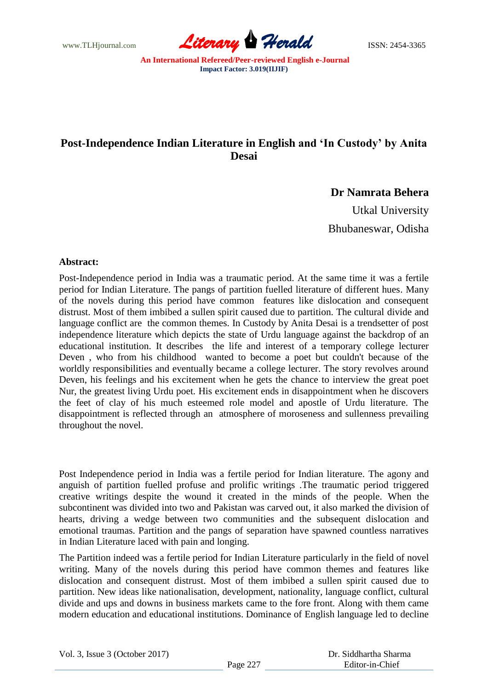www.TLHjournal.com **Literary Herald Herald ISSN: 2454-3365** 

## **Post-Independence Indian Literature in English and 'In Custody' by Anita Desai**

**Dr Namrata Behera**

Utkal University Bhubaneswar, Odisha

## **Abstract:**

Post-Independence period in India was a traumatic period. At the same time it was a fertile period for Indian Literature. The pangs of partition fuelled literature of different hues. Many of the novels during this period have common features like dislocation and consequent distrust. Most of them imbibed a sullen spirit caused due to partition. The cultural divide and language conflict are the common themes. In Custody by Anita Desai is a trendsetter of post independence literature which depicts the state of Urdu language against the backdrop of an educational institution. It describes the life and interest of a temporary college lecturer Deven , who from his childhood wanted to become a poet but couldn't because of the worldly responsibilities and eventually became a college lecturer. The story revolves around Deven, his feelings and his excitement when he gets the chance to interview the great poet Nur, the greatest living Urdu poet. His excitement ends in disappointment when he discovers the feet of clay of his much esteemed role model and apostle of Urdu literature. The disappointment is reflected through an atmosphere of moroseness and sullenness prevailing throughout the novel.

Post Independence period in India was a fertile period for Indian literature. The agony and anguish of partition fuelled profuse and prolific writings .The traumatic period triggered creative writings despite the wound it created in the minds of the people. When the subcontinent was divided into two and Pakistan was carved out, it also marked the division of hearts, driving a wedge between two communities and the subsequent dislocation and emotional traumas. Partition and the pangs of separation have spawned countless narratives in Indian Literature laced with pain and longing.

The Partition indeed was a fertile period for Indian Literature particularly in the field of novel writing. Many of the novels during this period have common themes and features like dislocation and consequent distrust. Most of them imbibed a sullen spirit caused due to partition. New ideas like nationalisation, development, nationality, language conflict, cultural divide and ups and downs in business markets came to the fore front. Along with them came modern education and educational institutions. Dominance of English language led to decline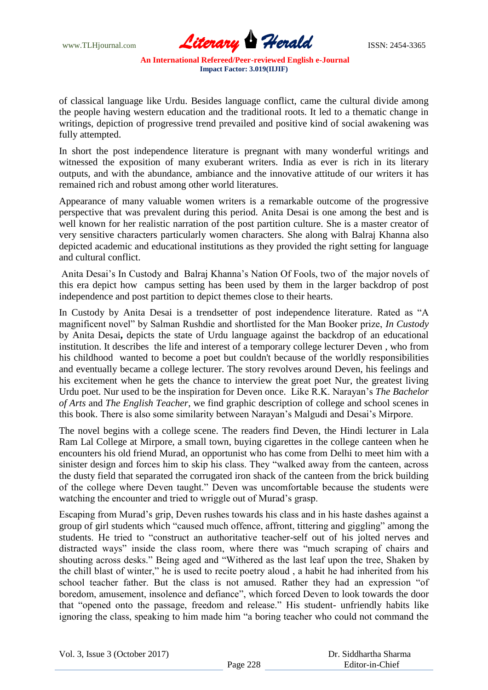www.TLHjournal.com *Literary Herald*ISSN: 2454-3365

of classical language like Urdu. Besides language conflict, came the cultural divide among the people having western education and the traditional roots. It led to a thematic change in writings, depiction of progressive trend prevailed and positive kind of social awakening was fully attempted.

In short the post independence literature is pregnant with many wonderful writings and witnessed the exposition of many exuberant writers. India as ever is rich in its literary outputs, and with the abundance, ambiance and the innovative attitude of our writers it has remained rich and robust among other world literatures.

Appearance of many valuable women writers is a remarkable outcome of the progressive perspective that was prevalent during this period. Anita Desai is one among the best and is well known for her realistic narration of the post partition culture. She is a master creator of very sensitive characters particularly women characters. She along with Balraj Khanna also depicted academic and educational institutions as they provided the right setting for language and cultural conflict.

Anita Desai"s In Custody and Balraj Khanna"s Nation Of Fools, two of the major novels of this era depict how campus setting has been used by them in the larger backdrop of post independence and post partition to depict themes close to their hearts.

In Custody by Anita Desai is a trendsetter of post independence literature. Rated as "A magnificent novel" by Salman Rushdie and shortlisted for the Man Booker prize, *In Custody* by Anita Desai**,** depicts the state of Urdu language against the backdrop of an educational institution. It describes the life and interest of a temporary college lecturer Deven , who from his childhood wanted to become a poet but couldn't because of the worldly responsibilities and eventually became a college lecturer. The story revolves around Deven, his feelings and his excitement when he gets the chance to interview the great poet Nur, the greatest living Urdu poet. Nur used to be the inspiration for Deven once. Like R.K. Narayan"s *The Bachelor of Arts* and *The English Teacher*, we find graphic description of college and school scenes in this book. There is also some similarity between Narayan"s Malgudi and Desai"s Mirpore.

The novel begins with a college scene. The readers find Deven, the Hindi lecturer in Lala Ram Lal College at Mirpore, a small town, buying cigarettes in the college canteen when he encounters his old friend Murad, an opportunist who has come from Delhi to meet him with a sinister design and forces him to skip his class. They "walked away from the canteen, across the dusty field that separated the corrugated iron shack of the canteen from the brick building of the college where Deven taught." Deven was uncomfortable because the students were watching the encounter and tried to wriggle out of Murad's grasp.

Escaping from Murad"s grip, Deven rushes towards his class and in his haste dashes against a group of girl students which "caused much offence, affront, tittering and giggling" among the students. He tried to "construct an authoritative teacher-self out of his jolted nerves and distracted ways" inside the class room, where there was "much scraping of chairs and shouting across desks." Being aged and "Withered as the last leaf upon the tree, Shaken by the chill blast of winter," he is used to recite poetry aloud , a habit he had inherited from his school teacher father. But the class is not amused. Rather they had an expression "of boredom, amusement, insolence and defiance", which forced Deven to look towards the door that "opened onto the passage, freedom and release." His student- unfriendly habits like ignoring the class, speaking to him made him "a boring teacher who could not command the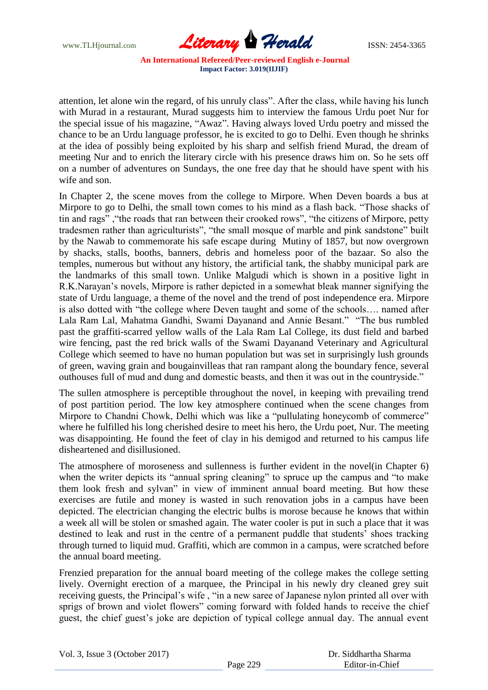

attention, let alone win the regard, of his unruly class". After the class, while having his lunch with Murad in a restaurant, Murad suggests him to interview the famous Urdu poet Nur for the special issue of his magazine, "Awaz". Having always loved Urdu poetry and missed the chance to be an Urdu language professor, he is excited to go to Delhi. Even though he shrinks at the idea of possibly being exploited by his sharp and selfish friend Murad, the dream of meeting Nur and to enrich the literary circle with his presence draws him on. So he sets off on a number of adventures on Sundays, the one free day that he should have spent with his wife and son.

In Chapter 2, the scene moves from the college to Mirpore. When Deven boards a bus at Mirpore to go to Delhi, the small town comes to his mind as a flash back. "Those shacks of tin and rags" ,"the roads that ran between their crooked rows", "the citizens of Mirpore, petty tradesmen rather than agriculturists", "the small mosque of marble and pink sandstone" built by the Nawab to commemorate his safe escape during Mutiny of 1857, but now overgrown by shacks, stalls, booths, banners, debris and homeless poor of the bazaar. So also the temples, numerous but without any history, the artificial tank, the shabby municipal park are the landmarks of this small town. Unlike Malgudi which is shown in a positive light in R.K.Narayan"s novels, Mirpore is rather depicted in a somewhat bleak manner signifying the state of Urdu language, a theme of the novel and the trend of post independence era. Mirpore is also dotted with "the college where Deven taught and some of the schools…. named after Lala Ram Lal, Mahatma Gandhi, Swami Dayanand and Annie Besant." "The bus rumbled past the graffiti-scarred yellow walls of the Lala Ram Lal College, its dust field and barbed wire fencing, past the red brick walls of the Swami Dayanand Veterinary and Agricultural College which seemed to have no human population but was set in surprisingly lush grounds of green, waving grain and bougainvilleas that ran rampant along the boundary fence, several outhouses full of mud and dung and domestic beasts, and then it was out in the countryside."

The sullen atmosphere is perceptible throughout the novel, in keeping with prevailing trend of post partition period. The low key atmosphere continued when the scene changes from Mirpore to Chandni Chowk, Delhi which was like a "pullulating honeycomb of commerce" where he fulfilled his long cherished desire to meet his hero, the Urdu poet, Nur. The meeting was disappointing. He found the feet of clay in his demigod and returned to his campus life disheartened and disillusioned.

The atmosphere of moroseness and sullenness is further evident in the novel(in Chapter 6) when the writer depicts its "annual spring cleaning" to spruce up the campus and "to make them look fresh and sylvan" in view of imminent annual board meeting. But how these exercises are futile and money is wasted in such renovation jobs in a campus have been depicted. The electrician changing the electric bulbs is morose because he knows that within a week all will be stolen or smashed again. The water cooler is put in such a place that it was destined to leak and rust in the centre of a permanent puddle that students' shoes tracking through turned to liquid mud. Graffiti, which are common in a campus, were scratched before the annual board meeting.

Frenzied preparation for the annual board meeting of the college makes the college setting lively. Overnight erection of a marquee, the Principal in his newly dry cleaned grey suit receiving guests, the Principal's wife, "in a new saree of Japanese nylon printed all over with sprigs of brown and violet flowers" coming forward with folded hands to receive the chief guest, the chief guest's joke are depiction of typical college annual day. The annual event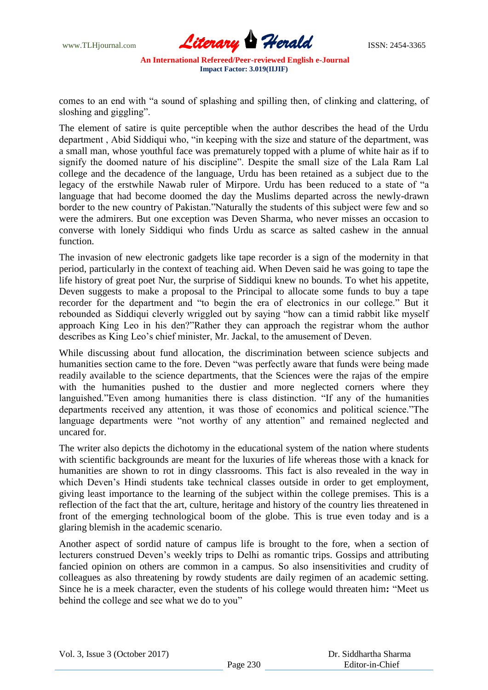

comes to an end with "a sound of splashing and spilling then, of clinking and clattering, of sloshing and giggling".

The element of satire is quite perceptible when the author describes the head of the Urdu department , Abid Siddiqui who, "in keeping with the size and stature of the department, was a small man, whose youthful face was prematurely topped with a plume of white hair as if to signify the doomed nature of his discipline". Despite the small size of the Lala Ram Lal college and the decadence of the language, Urdu has been retained as a subject due to the legacy of the erstwhile Nawab ruler of Mirpore. Urdu has been reduced to a state of "a language that had become doomed the day the Muslims departed across the newly-drawn border to the new country of Pakistan."Naturally the students of this subject were few and so were the admirers. But one exception was Deven Sharma, who never misses an occasion to converse with lonely Siddiqui who finds Urdu as scarce as salted cashew in the annual function.

The invasion of new electronic gadgets like tape recorder is a sign of the modernity in that period, particularly in the context of teaching aid. When Deven said he was going to tape the life history of great poet Nur, the surprise of Siddiqui knew no bounds. To whet his appetite, Deven suggests to make a proposal to the Principal to allocate some funds to buy a tape recorder for the department and "to begin the era of electronics in our college." But it rebounded as Siddiqui cleverly wriggled out by saying "how can a timid rabbit like myself approach King Leo in his den?"Rather they can approach the registrar whom the author describes as King Leo's chief minister, Mr. Jackal, to the amusement of Deven.

While discussing about fund allocation, the discrimination between science subjects and humanities section came to the fore. Deven "was perfectly aware that funds were being made readily available to the science departments, that the Sciences were the rajas of the empire with the humanities pushed to the dustier and more neglected corners where they languished."Even among humanities there is class distinction. "If any of the humanities departments received any attention, it was those of economics and political science."The language departments were "not worthy of any attention" and remained neglected and uncared for.

The writer also depicts the dichotomy in the educational system of the nation where students with scientific backgrounds are meant for the luxuries of life whereas those with a knack for humanities are shown to rot in dingy classrooms. This fact is also revealed in the way in which Deven's Hindi students take technical classes outside in order to get employment, giving least importance to the learning of the subject within the college premises. This is a reflection of the fact that the art, culture, heritage and history of the country lies threatened in front of the emerging technological boom of the globe. This is true even today and is a glaring blemish in the academic scenario.

Another aspect of sordid nature of campus life is brought to the fore, when a section of lecturers construed Deven"s weekly trips to Delhi as romantic trips. Gossips and attributing fancied opinion on others are common in a campus. So also insensitivities and crudity of colleagues as also threatening by rowdy students are daily regimen of an academic setting. Since he is a meek character, even the students of his college would threaten him**:** "Meet us behind the college and see what we do to you"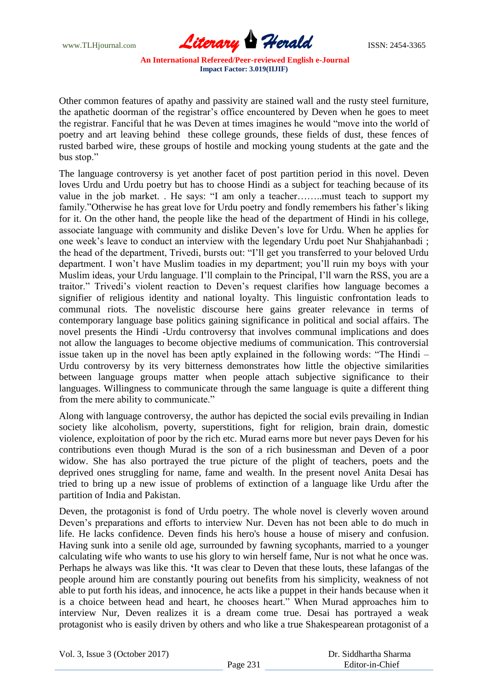www.TLHjournal.com **Literary Herald ISSN: 2454-3365** 

Other common features of apathy and passivity are stained wall and the rusty steel furniture, the apathetic doorman of the registrar"s office encountered by Deven when he goes to meet the registrar. Fanciful that he was Deven at times imagines he would "move into the world of poetry and art leaving behind these college grounds, these fields of dust, these fences of rusted barbed wire, these groups of hostile and mocking young students at the gate and the bus stop."

The language controversy is yet another facet of post partition period in this novel. Deven loves Urdu and Urdu poetry but has to choose Hindi as a subject for teaching because of its value in the job market. . He says: "I am only a teacher……..must teach to support my family."Otherwise he has great love for Urdu poetry and fondly remembers his father's liking for it. On the other hand, the people like the head of the department of Hindi in his college, associate language with community and dislike Deven"s love for Urdu. When he applies for one week"s leave to conduct an interview with the legendary Urdu poet Nur Shahjahanbadi ; the head of the department, Trivedi, bursts out: "I"ll get you transferred to your beloved Urdu department. I won"t have Muslim toadies in my department; you"ll ruin my boys with your Muslim ideas, your Urdu language. I"ll complain to the Principal, I"ll warn the RSS, you are a traitor." Trivedi"s violent reaction to Deven"s request clarifies how language becomes a signifier of religious identity and national loyalty. This linguistic confrontation leads to communal riots. The novelistic discourse here gains greater relevance in terms of contemporary language base politics gaining significance in political and social affairs. The novel presents the Hindi -Urdu controversy that involves communal implications and does not allow the languages to become objective mediums of communication. This controversial issue taken up in the novel has been aptly explained in the following words: "The Hindi – Urdu controversy by its very bitterness demonstrates how little the objective similarities between language groups matter when people attach subjective significance to their languages. Willingness to communicate through the same language is quite a different thing from the mere ability to communicate."

Along with language controversy, the author has depicted the social evils prevailing in Indian society like alcoholism, poverty, superstitions, fight for religion, brain drain, domestic violence, exploitation of poor by the rich etc. Murad earns more but never pays Deven for his contributions even though Murad is the son of a rich businessman and Deven of a poor widow. She has also portrayed the true picture of the plight of teachers, poets and the deprived ones struggling for name, fame and wealth. In the present novel Anita Desai has tried to bring up a new issue of problems of extinction of a language like Urdu after the partition of India and Pakistan.

Deven, the protagonist is fond of Urdu poetry. The whole novel is cleverly woven around Deven"s preparations and efforts to interview Nur. Deven has not been able to do much in life. He lacks confidence. Deven finds his hero's house a house of misery and confusion. Having sunk into a senile old age, surrounded by fawning sycophants, married to a younger calculating wife who wants to use his glory to win herself fame, Nur is not what he once was. Perhaps he always was like this. **'**It was clear to Deven that these louts, these lafangas of the people around him are constantly pouring out benefits from his simplicity, weakness of not able to put forth his ideas, and innocence, he acts like a puppet in their hands because when it is a choice between head and heart, he chooses heart." When Murad approaches him to interview Nur, Deven realizes it is a dream come true. Desai has portrayed a weak protagonist who is easily driven by others and who like a true Shakespearean protagonist of a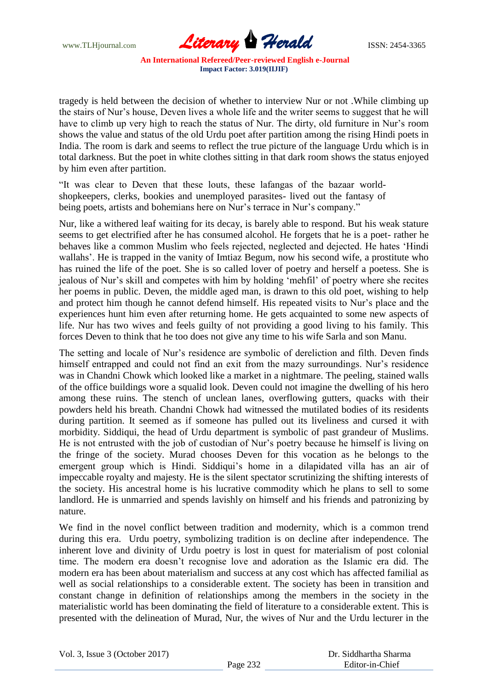

tragedy is held between the decision of whether to interview Nur or not .While climbing up the stairs of Nur"s house, Deven lives a whole life and the writer seems to suggest that he will have to climb up very high to reach the status of Nur. The dirty, old furniture in Nur's room shows the value and status of the old Urdu poet after partition among the rising Hindi poets in India. The room is dark and seems to reflect the true picture of the language Urdu which is in total darkness. But the poet in white clothes sitting in that dark room shows the status enjoyed by him even after partition.

"It was clear to Deven that these louts, these lafangas of the bazaar worldshopkeepers, clerks, bookies and unemployed parasites- lived out the fantasy of being poets, artists and bohemians here on Nur's terrace in Nur's company."

Nur, like a withered leaf waiting for its decay, is barely able to respond. But his weak stature seems to get electrified after he has consumed alcohol. He forgets that he is a poet- rather he behaves like a common Muslim who feels rejected, neglected and dejected. He hates "Hindi wallahs'. He is trapped in the vanity of Imtiaz Begum, now his second wife, a prostitute who has ruined the life of the poet. She is so called lover of poetry and herself a poetess. She is jealous of Nur"s skill and competes with him by holding "mehfil" of poetry where she recites her poems in public. Deven, the middle aged man, is drawn to this old poet, wishing to help and protect him though he cannot defend himself. His repeated visits to Nur"s place and the experiences hunt him even after returning home. He gets acquainted to some new aspects of life. Nur has two wives and feels guilty of not providing a good living to his family. This forces Deven to think that he too does not give any time to his wife Sarla and son Manu.

The setting and locale of Nur"s residence are symbolic of dereliction and filth. Deven finds himself entrapped and could not find an exit from the mazy surroundings. Nur's residence was in Chandni Chowk which looked like a market in a nightmare. The peeling, stained walls of the office buildings wore a squalid look. Deven could not imagine the dwelling of his hero among these ruins. The stench of unclean lanes, overflowing gutters, quacks with their powders held his breath. Chandni Chowk had witnessed the mutilated bodies of its residents during partition. It seemed as if someone has pulled out its liveliness and cursed it with morbidity. Siddiqui, the head of Urdu department is symbolic of past grandeur of Muslims. He is not entrusted with the job of custodian of Nur"s poetry because he himself is living on the fringe of the society. Murad chooses Deven for this vocation as he belongs to the emergent group which is Hindi. Siddiqui"s home in a dilapidated villa has an air of impeccable royalty and majesty. He is the silent spectator scrutinizing the shifting interests of the society. His ancestral home is his lucrative commodity which he plans to sell to some landlord. He is unmarried and spends lavishly on himself and his friends and patronizing by nature.

We find in the novel conflict between tradition and modernity, which is a common trend during this era. Urdu poetry, symbolizing tradition is on decline after independence. The inherent love and divinity of Urdu poetry is lost in quest for materialism of post colonial time. The modern era doesn"t recognise love and adoration as the Islamic era did. The modern era has been about materialism and success at any cost which has affected familial as well as social relationships to a considerable extent. The society has been in transition and constant change in definition of relationships among the members in the society in the materialistic world has been dominating the field of literature to a considerable extent. This is presented with the delineation of Murad, Nur, the wives of Nur and the Urdu lecturer in the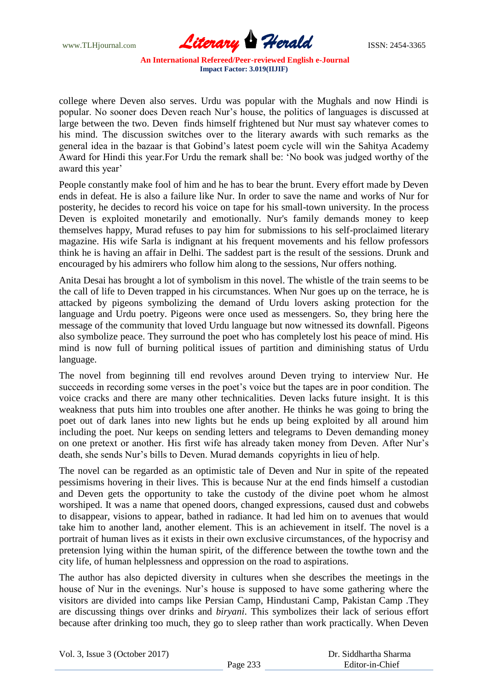

college where Deven also serves. Urdu was popular with the Mughals and now Hindi is popular. No sooner does Deven reach Nur"s house, the politics of languages is discussed at large between the two. Deven finds himself frightened but Nur must say whatever comes to his mind. The discussion switches over to the literary awards with such remarks as the general idea in the bazaar is that Gobind"s latest poem cycle will win the Sahitya Academy Award for Hindi this year.For Urdu the remark shall be: "No book was judged worthy of the award this year'

People constantly make fool of him and he has to bear the brunt. Every effort made by Deven ends in defeat. He is also a failure like Nur. In order to save the name and works of Nur for posterity, he decides to record his voice on tape for his small-town university. In the process Deven is exploited monetarily and emotionally. Nur's family demands money to keep themselves happy, Murad refuses to pay him for submissions to his self-proclaimed literary magazine. His wife Sarla is indignant at his frequent movements and his fellow professors think he is having an affair in Delhi. The saddest part is the result of the sessions. Drunk and encouraged by his admirers who follow him along to the sessions, Nur offers nothing.

Anita Desai has brought a lot of symbolism in this novel. The whistle of the train seems to be the call of life to Deven trapped in his circumstances. When Nur goes up on the terrace, he is attacked by pigeons symbolizing the demand of Urdu lovers asking protection for the language and Urdu poetry. Pigeons were once used as messengers. So, they bring here the message of the community that loved Urdu language but now witnessed its downfall. Pigeons also symbolize peace. They surround the poet who has completely lost his peace of mind. His mind is now full of burning political issues of partition and diminishing status of Urdu language.

The novel from beginning till end revolves around Deven trying to interview Nur. He succeeds in recording some verses in the poet's voice but the tapes are in poor condition. The voice cracks and there are many other technicalities. Deven lacks future insight. It is this weakness that puts him into troubles one after another. He thinks he was going to bring the poet out of dark lanes into new lights but he ends up being exploited by all around him including the poet. Nur keeps on sending letters and telegrams to Deven demanding money on one pretext or another. His first wife has already taken money from Deven. After Nur"s death, she sends Nur's bills to Deven. Murad demands copyrights in lieu of help.

The novel can be regarded as an optimistic tale of Deven and Nur in spite of the repeated pessimisms hovering in their lives. This is because Nur at the end finds himself a custodian and Deven gets the opportunity to take the custody of the divine poet whom he almost worshiped. It was a name that opened doors, changed expressions, caused dust and cobwebs to disappear, visions to appear, bathed in radiance. It had led him on to avenues that would take him to another land, another element. This is an achievement in itself. The novel is a portrait of human lives as it exists in their own exclusive circumstances, of the hypocrisy and pretension lying within the human spirit, of the difference between the towthe town and the city life, of human helplessness and oppression on the road to aspirations.

The author has also depicted diversity in cultures when she describes the meetings in the house of Nur in the evenings. Nur"s house is supposed to have some gathering where the visitors are divided into camps like Persian Camp, Hindustani Camp, Pakistan Camp .They are discussing things over drinks and *biryani*. This symbolizes their lack of serious effort because after drinking too much, they go to sleep rather than work practically. When Deven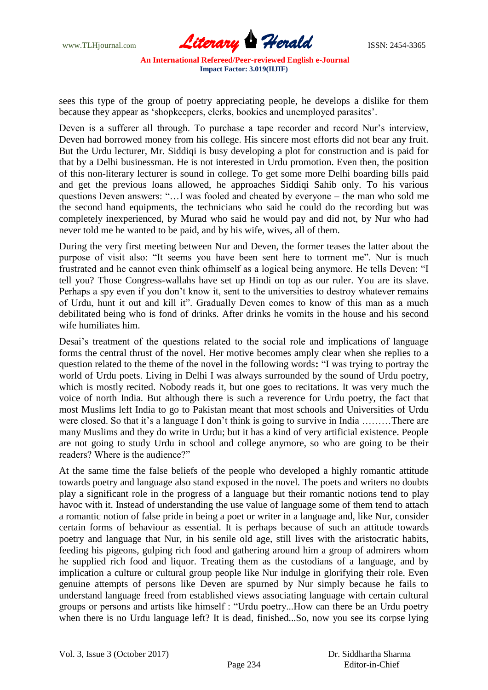

sees this type of the group of poetry appreciating people, he develops a dislike for them because they appear as "shopkeepers, clerks, bookies and unemployed parasites".

Deven is a sufferer all through. To purchase a tape recorder and record Nur's interview, Deven had borrowed money from his college. His sincere most efforts did not bear any fruit. But the Urdu lecturer, Mr. Siddiqi is busy developing a plot for construction and is paid for that by a Delhi businessman. He is not interested in Urdu promotion. Even then, the position of this non-literary lecturer is sound in college. To get some more Delhi boarding bills paid and get the previous loans allowed, he approaches Siddiqi Sahib only. To his various questions Deven answers: "…I was fooled and cheated by everyone – the man who sold me the second hand equipments, the technicians who said he could do the recording but was completely inexperienced, by Murad who said he would pay and did not, by Nur who had never told me he wanted to be paid, and by his wife, wives, all of them.

During the very first meeting between Nur and Deven, the former teases the latter about the purpose of visit also: "It seems you have been sent here to torment me". Nur is much frustrated and he cannot even think ofhimself as a logical being anymore. He tells Deven: "I tell you? Those Congress-wallahs have set up Hindi on top as our ruler. You are its slave. Perhaps a spy even if you don't know it, sent to the universities to destroy whatever remains of Urdu, hunt it out and kill it". Gradually Deven comes to know of this man as a much debilitated being who is fond of drinks. After drinks he vomits in the house and his second wife humiliates him.

Desai's treatment of the questions related to the social role and implications of language forms the central thrust of the novel. Her motive becomes amply clear when she replies to a question related to the theme of the novel in the following words**:** "I was trying to portray the world of Urdu poets. Living in Delhi I was always surrounded by the sound of Urdu poetry, which is mostly recited. Nobody reads it, but one goes to recitations. It was very much the voice of north India. But although there is such a reverence for Urdu poetry, the fact that most Muslims left India to go to Pakistan meant that most schools and Universities of Urdu were closed. So that it's a language I don't think is going to survive in India .........There are many Muslims and they do write in Urdu; but it has a kind of very artificial existence. People are not going to study Urdu in school and college anymore, so who are going to be their readers? Where is the audience?"

At the same time the false beliefs of the people who developed a highly romantic attitude towards poetry and language also stand exposed in the novel. The poets and writers no doubts play a significant role in the progress of a language but their romantic notions tend to play havoc with it. Instead of understanding the use value of language some of them tend to attach a romantic notion of false pride in being a poet or writer in a language and, like Nur, consider certain forms of behaviour as essential. It is perhaps because of such an attitude towards poetry and language that Nur, in his senile old age, still lives with the aristocratic habits, feeding his pigeons, gulping rich food and gathering around him a group of admirers whom he supplied rich food and liquor. Treating them as the custodians of a language, and by implication a culture or cultural group people like Nur indulge in glorifying their role. Even genuine attempts of persons like Deven are spurned by Nur simply because he fails to understand language freed from established views associating language with certain cultural groups or persons and artists like himself : "Urdu poetry...How can there be an Urdu poetry when there is no Urdu language left? It is dead, finished...So, now you see its corpse lying